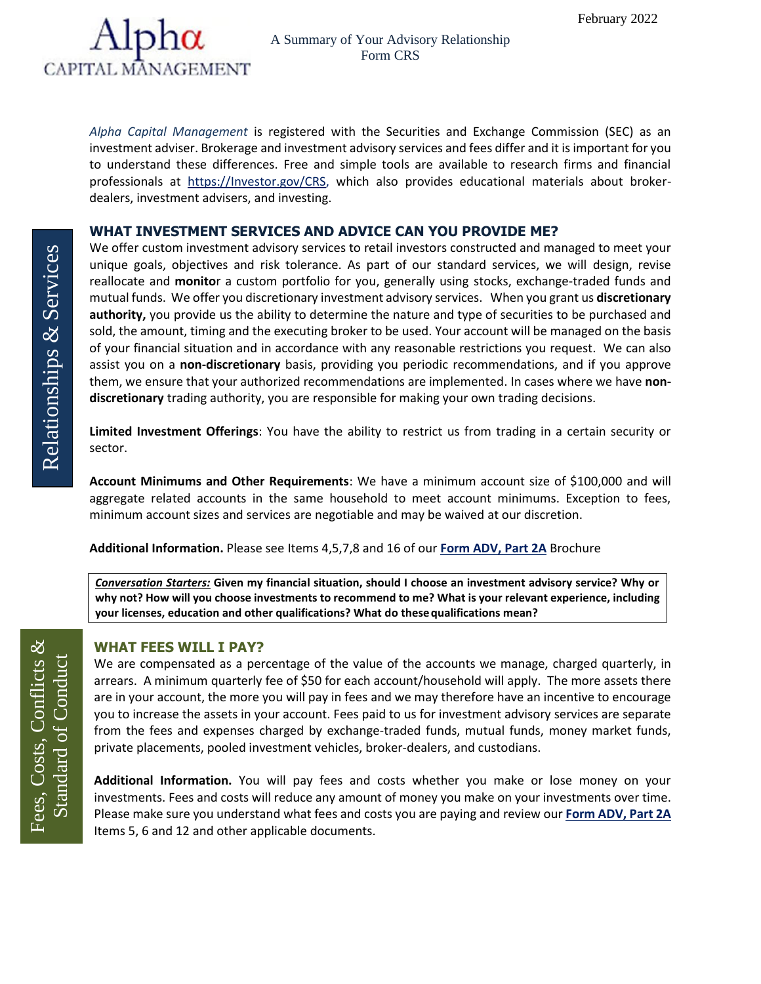

*Alpha Capital Management* is registered with the Securities and Exchange Commission (SEC) as an investment adviser. Brokerage and investment advisory services and fees differ and it is important for you to understand these differences. Free and simple tools are available to research firms and financial professionals at [https://Investor.gov/CRS,](https://investor.gov/CRS) which also provides educational materials about brokerdealers, investment advisers, and investing.

### **WHAT INVESTMENT SERVICES AND ADVICE CAN YOU PROVIDE ME?**

We offer custom investment advisory services to retail investors constructed and managed to meet your unique goals, objectives and risk tolerance. As part of our standard services, we will design, revise reallocate and **monito**r a custom portfolio for you, generally using stocks, exchange-traded funds and mutual funds. We offer you discretionary investment advisory services. When you grant us **discretionary authority,** you provide us the ability to determine the nature and type of securities to be purchased and sold, the amount, timing and the executing broker to be used. Your account will be managed on the basis of your financial situation and in accordance with any reasonable restrictions you request. We can also assist you on a **non-discretionary** basis, providing you periodic recommendations, and if you approve them, we ensure that your authorized recommendations are implemented. In cases where we have **nondiscretionary** trading authority, you are responsible for making your own trading decisions.

**Limited Investment Offerings**: You have the ability to restrict us from trading in a certain security or sector.

**Account Minimums and Other Requirements**: We have a minimum account size of \$100,000 and will aggregate related accounts in the same household to meet account minimums. Exception to fees, minimum account sizes and services are negotiable and may be waived at our discretion.

**Additional Information.** Please see Items 4,5,7,8 and 16 of our **[Form ADV, Part 2A](https://adviserinfo.sec.gov/firm/summary/121703)** Brochure

*Conversation Starters:* **Given my financial situation, should I choose an investment advisory service? Why or why not? How will you choose investments to recommend to me? What is your relevant experience, including your licenses, education and other qualifications? What do thesequalifications mean?**

#### **WHAT FEES WILL I PAY?**

We are compensated as a percentage of the value of the accounts we manage, charged quarterly, in arrears. A minimum quarterly fee of \$50 for each account/household will apply. The more assets there are in your account, the more you will pay in fees and we may therefore have an incentive to encourage you to increase the assets in your account. Fees paid to us for investment advisory services are separate from the fees and expenses charged by exchange-traded funds, mutual funds, money market funds, private placements, pooled investment vehicles, broker-dealers, and custodians.

**Additional Information.** You will pay fees and costs whether you make or lose money on your investments. Fees and costs will reduce any amount of money you make on your investments over time. Please make sure you understand what fees and costs you are paying and review our **[Form ADV, Part 2A](https://adviserinfo.sec.gov/firm/summary/121703)** Items 5, 6 and 12 and other applicable documents.